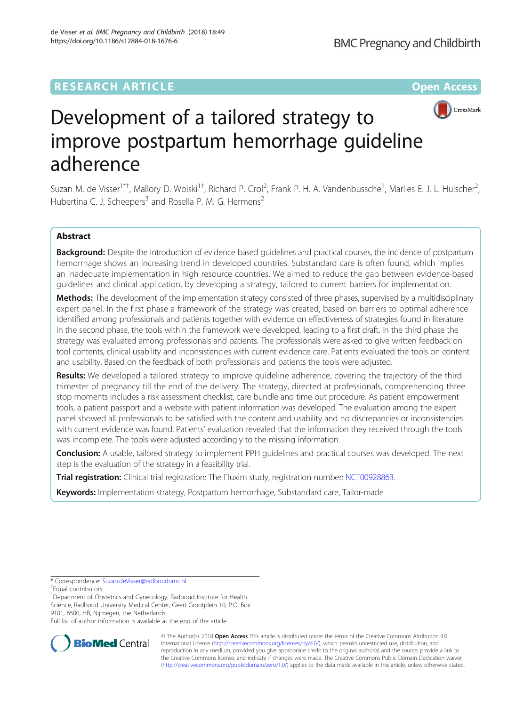## **RESEARCH ARTICLE Example 2018 12:00 Department of the CONNECTION CONNECTION CONNECTION CONNECTION**



# Development of a tailored strategy to improve postpartum hemorrhage guideline adherence

Suzan M. de Visser<sup>1\*†</sup>, Mallory D. Woiski<sup>1†</sup>, Richard P. Grol<sup>2</sup>, Frank P. H. A. Vandenbussche<sup>1</sup>, Marlies E. J. L. Hulscher<sup>2</sup> .<br>, Hubertina C. J. Scheepers<sup>3</sup> and Rosella P. M. G. Hermens<sup>2</sup>

## Abstract

Background: Despite the introduction of evidence based guidelines and practical courses, the incidence of postpartum hemorrhage shows an increasing trend in developed countries. Substandard care is often found, which implies an inadequate implementation in high resource countries. We aimed to reduce the gap between evidence-based guidelines and clinical application, by developing a strategy, tailored to current barriers for implementation.

**Methods:** The development of the implementation strategy consisted of three phases, supervised by a multidisciplinary expert panel. In the first phase a framework of the strategy was created, based on barriers to optimal adherence identified among professionals and patients together with evidence on effectiveness of strategies found in literature. In the second phase, the tools within the framework were developed, leading to a first draft. In the third phase the strategy was evaluated among professionals and patients. The professionals were asked to give written feedback on tool contents, clinical usability and inconsistencies with current evidence care. Patients evaluated the tools on content and usability. Based on the feedback of both professionals and patients the tools were adjusted.

**Results:** We developed a tailored strategy to improve guideline adherence, covering the trajectory of the third trimester of pregnancy till the end of the delivery. The strategy, directed at professionals, comprehending three stop moments includes a risk assessment checklist, care bundle and time-out procedure. As patient empowerment tools, a patient passport and a website with patient information was developed. The evaluation among the expert panel showed all professionals to be satisfied with the content and usability and no discrepancies or inconsistencies with current evidence was found. Patients' evaluation revealed that the information they received through the tools was incomplete. The tools were adjusted accordingly to the missing information.

**Conclusion:** A usable, tailored strategy to implement PPH guidelines and practical courses was developed. The next step is the evaluation of the strategy in a feasibility trial.

Trial registration: Clinical trial registration: The Fluxim study, registration number: [NCT00928863.](https://clinicaltrials.gov/ct2/show/NCT00928863)

Keywords: Implementation strategy, Postpartum hemorrhage, Substandard care, Tailor-made

<sup>1</sup>Department of Obstetrics and Gynecology, Radboud Institute for Health Science, Radboud University Medical Center, Geert Grootplein 10, P.O. Box 9101, 6500, HB, Nijmegen, the Netherlands

Full list of author information is available at the end of the article



© The Author(s). 2018 Open Access This article is distributed under the terms of the Creative Commons Attribution 4.0 International License [\(http://creativecommons.org/licenses/by/4.0/](http://creativecommons.org/licenses/by/4.0/)), which permits unrestricted use, distribution, and reproduction in any medium, provided you give appropriate credit to the original author(s) and the source, provide a link to the Creative Commons license, and indicate if changes were made. The Creative Commons Public Domain Dedication waiver [\(http://creativecommons.org/publicdomain/zero/1.0/](http://creativecommons.org/publicdomain/zero/1.0/)) applies to the data made available in this article, unless otherwise stated.

<sup>\*</sup> Correspondence: [Suzan.deVisser@radboudumc.nl](mailto:Suzan.deVisser@radboudumc.nl) †

<sup>&</sup>lt;sup>T</sup>Equal contributors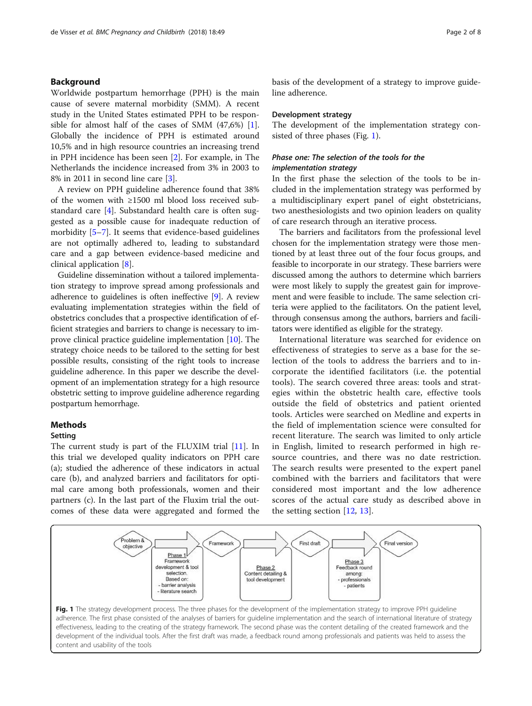## Background

Worldwide postpartum hemorrhage (PPH) is the main cause of severe maternal morbidity (SMM). A recent study in the United States estimated PPH to be responsible for almost half of the cases of SMM (47,6%) [\[1](#page-6-0)]. Globally the incidence of PPH is estimated around 10,5% and in high resource countries an increasing trend in PPH incidence has been seen [\[2](#page-6-0)]. For example, in The Netherlands the incidence increased from 3% in 2003 to 8% in 2011 in second line care [\[3](#page-6-0)].

A review on PPH guideline adherence found that 38% of the women with ≥1500 ml blood loss received substandard care [[4\]](#page-6-0). Substandard health care is often suggested as a possible cause for inadequate reduction of morbidity [\[5](#page-6-0)–[7\]](#page-7-0). It seems that evidence-based guidelines are not optimally adhered to, leading to substandard care and a gap between evidence-based medicine and clinical application [[8\]](#page-7-0).

Guideline dissemination without a tailored implementation strategy to improve spread among professionals and adherence to guidelines is often ineffective [[9\]](#page-7-0). A review evaluating implementation strategies within the field of obstetrics concludes that a prospective identification of efficient strategies and barriers to change is necessary to improve clinical practice guideline implementation [[10](#page-7-0)]. The strategy choice needs to be tailored to the setting for best possible results, consisting of the right tools to increase guideline adherence. In this paper we describe the development of an implementation strategy for a high resource obstetric setting to improve guideline adherence regarding postpartum hemorrhage.

## **Methods**

## **Setting**

The current study is part of the FLUXIM trial [[11](#page-7-0)]. In this trial we developed quality indicators on PPH care (a); studied the adherence of these indicators in actual care (b), and analyzed barriers and facilitators for optimal care among both professionals, women and their partners (c). In the last part of the Fluxim trial the outcomes of these data were aggregated and formed the basis of the development of a strategy to improve guideline adherence.

## Development strategy

The development of the implementation strategy consisted of three phases (Fig. 1).

## Phase one: The selection of the tools for the implementation strategy

In the first phase the selection of the tools to be included in the implementation strategy was performed by a multidisciplinary expert panel of eight obstetricians, two anesthesiologists and two opinion leaders on quality of care research through an iterative process.

The barriers and facilitators from the professional level chosen for the implementation strategy were those mentioned by at least three out of the four focus groups, and feasible to incorporate in our strategy. These barriers were discussed among the authors to determine which barriers were most likely to supply the greatest gain for improvement and were feasible to include. The same selection criteria were applied to the facilitators. On the patient level, through consensus among the authors, barriers and facilitators were identified as eligible for the strategy.

International literature was searched for evidence on effectiveness of strategies to serve as a base for the selection of the tools to address the barriers and to incorporate the identified facilitators (i.e. the potential tools). The search covered three areas: tools and strategies within the obstetric health care, effective tools outside the field of obstetrics and patient oriented tools. Articles were searched on Medline and experts in the field of implementation science were consulted for recent literature. The search was limited to only article in English, limited to research performed in high resource countries, and there was no date restriction. The search results were presented to the expert panel combined with the barriers and facilitators that were considered most important and the low adherence scores of the actual care study as described above in the setting section  $[12, 13]$  $[12, 13]$  $[12, 13]$  $[12, 13]$ .

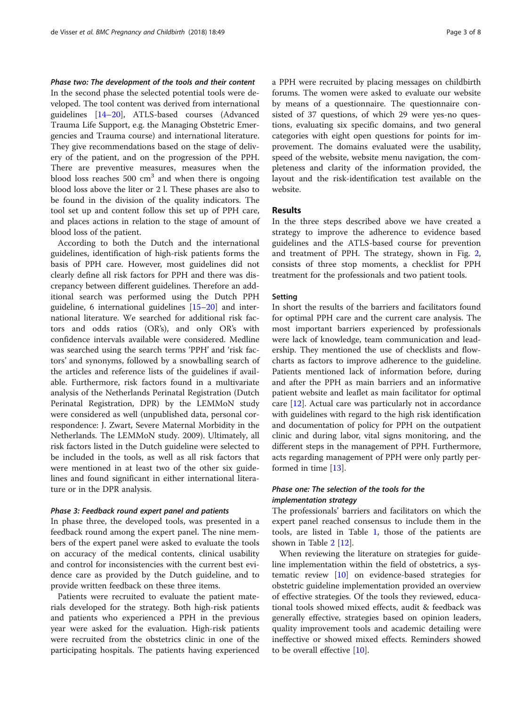Phase two: The development of the tools and their content In the second phase the selected potential tools were developed. The tool content was derived from international guidelines [\[14](#page-7-0)–[20\]](#page-7-0), ATLS-based courses (Advanced Trauma Life Support, e.g. the Managing Obstetric Emergencies and Trauma course) and international literature. They give recommendations based on the stage of delivery of the patient, and on the progression of the PPH. There are preventive measures, measures when the blood loss reaches  $500 \text{ cm}^3$  and when there is ongoing blood loss above the liter or 2 l. These phases are also to be found in the division of the quality indicators. The tool set up and content follow this set up of PPH care, and places actions in relation to the stage of amount of blood loss of the patient.

According to both the Dutch and the international guidelines, identification of high-risk patients forms the basis of PPH care. However, most guidelines did not clearly define all risk factors for PPH and there was discrepancy between different guidelines. Therefore an additional search was performed using the Dutch PPH guideline, 6 international guidelines [\[15](#page-7-0)–[20\]](#page-7-0) and international literature. We searched for additional risk factors and odds ratios (OR's), and only OR's with confidence intervals available were considered. Medline was searched using the search terms 'PPH' and 'risk factors' and synonyms, followed by a snowballing search of the articles and reference lists of the guidelines if available. Furthermore, risk factors found in a multivariate analysis of the Netherlands Perinatal Registration (Dutch Perinatal Registration, DPR) by the LEMMoN study were considered as well (unpublished data, personal correspondence: J. Zwart, Severe Maternal Morbidity in the Netherlands. The LEMMoN study. 2009). Ultimately, all risk factors listed in the Dutch guideline were selected to be included in the tools, as well as all risk factors that were mentioned in at least two of the other six guidelines and found significant in either international literature or in the DPR analysis.

## Phase 3: Feedback round expert panel and patients

In phase three, the developed tools, was presented in a feedback round among the expert panel. The nine members of the expert panel were asked to evaluate the tools on accuracy of the medical contents, clinical usability and control for inconsistencies with the current best evidence care as provided by the Dutch guideline, and to provide written feedback on these three items.

Patients were recruited to evaluate the patient materials developed for the strategy. Both high-risk patients and patients who experienced a PPH in the previous year were asked for the evaluation. High-risk patients were recruited from the obstetrics clinic in one of the participating hospitals. The patients having experienced a PPH were recruited by placing messages on childbirth forums. The women were asked to evaluate our website by means of a questionnaire. The questionnaire consisted of 37 questions, of which 29 were yes-no questions, evaluating six specific domains, and two general categories with eight open questions for points for improvement. The domains evaluated were the usability, speed of the website, website menu navigation, the completeness and clarity of the information provided, the layout and the risk-identification test available on the website.

## Results

In the three steps described above we have created a strategy to improve the adherence to evidence based guidelines and the ATLS-based course for prevention and treatment of PPH. The strategy, shown in Fig. [2](#page-3-0), consists of three stop moments, a checklist for PPH treatment for the professionals and two patient tools.

## Setting

In short the results of the barriers and facilitators found for optimal PPH care and the current care analysis. The most important barriers experienced by professionals were lack of knowledge, team communication and leadership. They mentioned the use of checklists and flowcharts as factors to improve adherence to the guideline. Patients mentioned lack of information before, during and after the PPH as main barriers and an informative patient website and leaflet as main facilitator for optimal care [\[12\]](#page-7-0). Actual care was particularly not in accordance with guidelines with regard to the high risk identification and documentation of policy for PPH on the outpatient clinic and during labor, vital signs monitoring, and the different steps in the management of PPH. Furthermore, acts regarding management of PPH were only partly performed in time [\[13](#page-7-0)].

## Phase one: The selection of the tools for the implementation strategy

The professionals' barriers and facilitators on which the expert panel reached consensus to include them in the tools, are listed in Table [1,](#page-3-0) those of the patients are shown in Table [2](#page-3-0) [\[12\]](#page-7-0).

When reviewing the literature on strategies for guideline implementation within the field of obstetrics, a systematic review [[10](#page-7-0)] on evidence-based strategies for obstetric guideline implementation provided an overview of effective strategies. Of the tools they reviewed, educational tools showed mixed effects, audit & feedback was generally effective, strategies based on opinion leaders, quality improvement tools and academic detailing were ineffective or showed mixed effects. Reminders showed to be overall effective [\[10](#page-7-0)].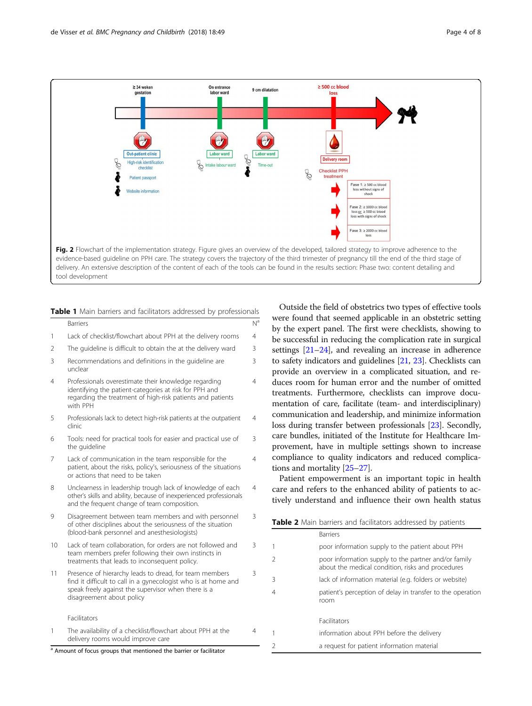<span id="page-3-0"></span>

## Table 1 Main barriers and facilitators addressed by professionals

| Disagreement between team members and with personnel<br>of other disciplines about the seriousness of the situation<br>(blood-bank personnel and anesthesiologists)<br>Lack of team collaboration, for orders are not followed and<br>team members prefer following their own instincts in<br>treatments that leads to inconsequent policy.<br>Presence of hierarchy leads to dread, for team members<br>find it difficult to call in a gynecologist who is at home and<br>speak freely against the supervisor when there is a<br>disagreement about policy | 3<br>3<br>3         |
|-------------------------------------------------------------------------------------------------------------------------------------------------------------------------------------------------------------------------------------------------------------------------------------------------------------------------------------------------------------------------------------------------------------------------------------------------------------------------------------------------------------------------------------------------------------|---------------------|
|                                                                                                                                                                                                                                                                                                                                                                                                                                                                                                                                                             |                     |
|                                                                                                                                                                                                                                                                                                                                                                                                                                                                                                                                                             |                     |
|                                                                                                                                                                                                                                                                                                                                                                                                                                                                                                                                                             |                     |
| Unclearness in leadership trough lack of knowledge of each<br>other's skills and ability, because of inexperienced professionals<br>and the frequent change of team composition.                                                                                                                                                                                                                                                                                                                                                                            | $\overline{4}$      |
| Lack of communication in the team responsible for the<br>patient, about the risks, policy's, seriousness of the situations<br>or actions that need to be taken                                                                                                                                                                                                                                                                                                                                                                                              | $\overline{4}$      |
| Tools: need for practical tools for easier and practical use of<br>the quideline                                                                                                                                                                                                                                                                                                                                                                                                                                                                            | 3                   |
| Professionals lack to detect high-risk patients at the outpatient<br>clinic                                                                                                                                                                                                                                                                                                                                                                                                                                                                                 | 4                   |
| Professionals overestimate their knowledge regarding<br>identifying the patient-categories at risk for PPH and<br>regarding the treatment of high-risk patients and patients<br>with PPH                                                                                                                                                                                                                                                                                                                                                                    | 4                   |
| Recommendations and definitions in the quideline are<br>unclear                                                                                                                                                                                                                                                                                                                                                                                                                                                                                             | 3                   |
| The quideline is difficult to obtain the at the delivery ward                                                                                                                                                                                                                                                                                                                                                                                                                                                                                               | 3                   |
| Lack of checklist/flowchart about PPH at the delivery rooms                                                                                                                                                                                                                                                                                                                                                                                                                                                                                                 | N <sup>a</sup><br>4 |
|                                                                                                                                                                                                                                                                                                                                                                                                                                                                                                                                                             | <b>Barriers</b>     |

Outside the field of obstetrics two types of effective tools were found that seemed applicable in an obstetric setting by the expert panel. The first were checklists, showing to be successful in reducing the complication rate in surgical settings [\[21](#page-7-0)–[24](#page-7-0)], and revealing an increase in adherence to safety indicators and guidelines [\[21,](#page-7-0) [23](#page-7-0)]. Checklists can provide an overview in a complicated situation, and reduces room for human error and the number of omitted treatments. Furthermore, checklists can improve documentation of care, facilitate (team- and interdisciplinary) communication and leadership, and minimize information loss during transfer between professionals [\[23\]](#page-7-0). Secondly, care bundles, initiated of the Institute for Healthcare Improvement, have in multiple settings shown to increase compliance to quality indicators and reduced complications and mortality [[25](#page-7-0)–[27\]](#page-7-0).

Patient empowerment is an important topic in health care and refers to the enhanced ability of patients to actively understand and influence their own health status

| <b>Table 2</b> Main barriers and facilitators addressed by patients |                                                                                                           |
|---------------------------------------------------------------------|-----------------------------------------------------------------------------------------------------------|
|                                                                     | <b>Barriers</b>                                                                                           |
| 1                                                                   | poor information supply to the patient about PPH                                                          |
| $\mathcal{P}$                                                       | poor information supply to the partner and/or family<br>about the medical condition, risks and procedures |
| ξ                                                                   | lack of information material (e.g. folders or website)                                                    |
| 4                                                                   | patient's perception of delay in transfer to the operation<br>room                                        |
|                                                                     | <b>Facilitators</b>                                                                                       |
| 1                                                                   | information about PPH before the delivery                                                                 |
| 2                                                                   | a request for patient information material                                                                |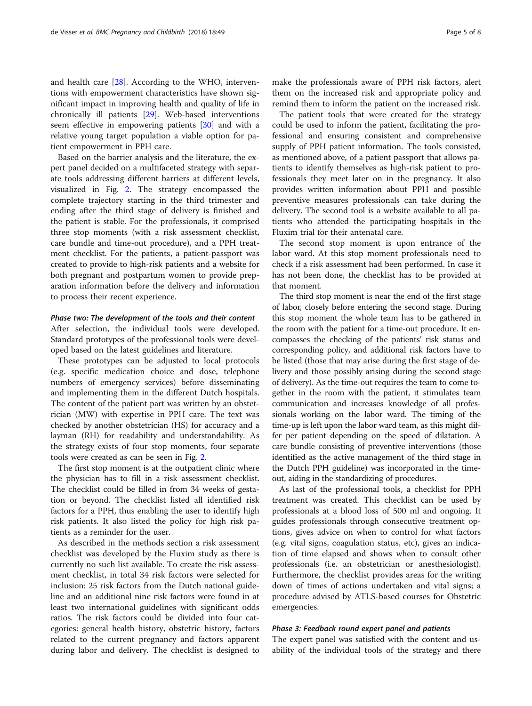and health care [\[28](#page-7-0)]. According to the WHO, interventions with empowerment characteristics have shown significant impact in improving health and quality of life in chronically ill patients [\[29\]](#page-7-0). Web-based interventions seem effective in empowering patients [[30\]](#page-7-0) and with a relative young target population a viable option for patient empowerment in PPH care.

Based on the barrier analysis and the literature, the expert panel decided on a multifaceted strategy with separate tools addressing different barriers at different levels, visualized in Fig. [2.](#page-3-0) The strategy encompassed the complete trajectory starting in the third trimester and ending after the third stage of delivery is finished and the patient is stable. For the professionals, it comprised three stop moments (with a risk assessment checklist, care bundle and time-out procedure), and a PPH treatment checklist. For the patients, a patient-passport was created to provide to high-risk patients and a website for both pregnant and postpartum women to provide preparation information before the delivery and information to process their recent experience.

#### Phase two: The development of the tools and their content

After selection, the individual tools were developed. Standard prototypes of the professional tools were developed based on the latest guidelines and literature.

These prototypes can be adjusted to local protocols (e.g. specific medication choice and dose, telephone numbers of emergency services) before disseminating and implementing them in the different Dutch hospitals. The content of the patient part was written by an obstetrician (MW) with expertise in PPH care. The text was checked by another obstetrician (HS) for accuracy and a layman (RH) for readability and understandability. As the strategy exists of four stop moments, four separate tools were created as can be seen in Fig. [2](#page-3-0).

The first stop moment is at the outpatient clinic where the physician has to fill in a risk assessment checklist. The checklist could be filled in from 34 weeks of gestation or beyond. The checklist listed all identified risk factors for a PPH, thus enabling the user to identify high risk patients. It also listed the policy for high risk patients as a reminder for the user.

As described in the methods section a risk assessment checklist was developed by the Fluxim study as there is currently no such list available. To create the risk assessment checklist, in total 34 risk factors were selected for inclusion: 25 risk factors from the Dutch national guideline and an additional nine risk factors were found in at least two international guidelines with significant odds ratios. The risk factors could be divided into four categories: general health history, obstetric history, factors related to the current pregnancy and factors apparent during labor and delivery. The checklist is designed to

make the professionals aware of PPH risk factors, alert them on the increased risk and appropriate policy and remind them to inform the patient on the increased risk.

The patient tools that were created for the strategy could be used to inform the patient, facilitating the professional and ensuring consistent and comprehensive supply of PPH patient information. The tools consisted, as mentioned above, of a patient passport that allows patients to identify themselves as high-risk patient to professionals they meet later on in the pregnancy. It also provides written information about PPH and possible preventive measures professionals can take during the delivery. The second tool is a website available to all patients who attended the participating hospitals in the Fluxim trial for their antenatal care.

The second stop moment is upon entrance of the labor ward. At this stop moment professionals need to check if a risk assessment had been performed. In case it has not been done, the checklist has to be provided at that moment.

The third stop moment is near the end of the first stage of labor, closely before entering the second stage. During this stop moment the whole team has to be gathered in the room with the patient for a time-out procedure. It encompasses the checking of the patients' risk status and corresponding policy, and additional risk factors have to be listed (those that may arise during the first stage of delivery and those possibly arising during the second stage of delivery). As the time-out requires the team to come together in the room with the patient, it stimulates team communication and increases knowledge of all professionals working on the labor ward. The timing of the time-up is left upon the labor ward team, as this might differ per patient depending on the speed of dilatation. A care bundle consisting of preventive interventions (those identified as the active management of the third stage in the Dutch PPH guideline) was incorporated in the timeout, aiding in the standardizing of procedures.

As last of the professional tools, a checklist for PPH treatment was created. This checklist can be used by professionals at a blood loss of 500 ml and ongoing. It guides professionals through consecutive treatment options, gives advice on when to control for what factors (e.g. vital signs, coagulation status, etc), gives an indication of time elapsed and shows when to consult other professionals (i.e. an obstetrician or anesthesiologist). Furthermore, the checklist provides areas for the writing down of times of actions undertaken and vital signs; a procedure advised by ATLS-based courses for Obstetric emergencies.

## Phase 3: Feedback round expert panel and patients

The expert panel was satisfied with the content and usability of the individual tools of the strategy and there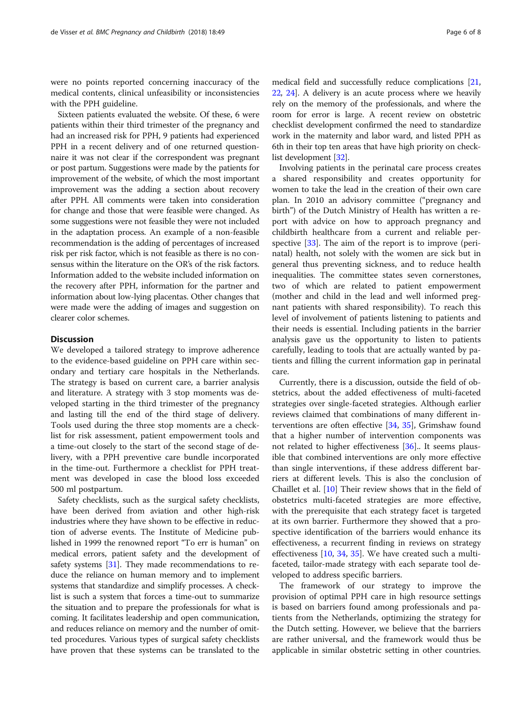were no points reported concerning inaccuracy of the medical contents, clinical unfeasibility or inconsistencies with the PPH guideline.

Sixteen patients evaluated the website. Of these, 6 were patients within their third trimester of the pregnancy and had an increased risk for PPH, 9 patients had experienced PPH in a recent delivery and of one returned questionnaire it was not clear if the correspondent was pregnant or post partum. Suggestions were made by the patients for improvement of the website, of which the most important improvement was the adding a section about recovery after PPH. All comments were taken into consideration for change and those that were feasible were changed. As some suggestions were not feasible they were not included in the adaptation process. An example of a non-feasible recommendation is the adding of percentages of increased risk per risk factor, which is not feasible as there is no consensus within the literature on the OR's of the risk factors. Information added to the website included information on the recovery after PPH, information for the partner and information about low-lying placentas. Other changes that were made were the adding of images and suggestion on clearer color schemes.

## **Discussion**

We developed a tailored strategy to improve adherence to the evidence-based guideline on PPH care within secondary and tertiary care hospitals in the Netherlands. The strategy is based on current care, a barrier analysis and literature. A strategy with 3 stop moments was developed starting in the third trimester of the pregnancy and lasting till the end of the third stage of delivery. Tools used during the three stop moments are a checklist for risk assessment, patient empowerment tools and a time-out closely to the start of the second stage of delivery, with a PPH preventive care bundle incorporated in the time-out. Furthermore a checklist for PPH treatment was developed in case the blood loss exceeded 500 ml postpartum.

Safety checklists, such as the surgical safety checklists, have been derived from aviation and other high-risk industries where they have shown to be effective in reduction of adverse events. The Institute of Medicine published in 1999 the renowned report "To err is human" on medical errors, patient safety and the development of safety systems [\[31](#page-7-0)]. They made recommendations to reduce the reliance on human memory and to implement systems that standardize and simplify processes. A checklist is such a system that forces a time-out to summarize the situation and to prepare the professionals for what is coming. It facilitates leadership and open communication, and reduces reliance on memory and the number of omitted procedures. Various types of surgical safety checklists have proven that these systems can be translated to the medical field and successfully reduce complications [[21](#page-7-0), [22](#page-7-0), [24](#page-7-0)]. A delivery is an acute process where we heavily rely on the memory of the professionals, and where the room for error is large. A recent review on obstetric checklist development confirmed the need to standardize work in the maternity and labor ward, and listed PPH as 6th in their top ten areas that have high priority on checklist development [\[32](#page-7-0)].

Involving patients in the perinatal care process creates a shared responsibility and creates opportunity for women to take the lead in the creation of their own care plan. In 2010 an advisory committee ("pregnancy and birth") of the Dutch Ministry of Health has written a report with advice on how to approach pregnancy and childbirth healthcare from a current and reliable perspective [[33\]](#page-7-0). The aim of the report is to improve (perinatal) health, not solely with the women are sick but in general thus preventing sickness, and to reduce health inequalities. The committee states seven cornerstones, two of which are related to patient empowerment (mother and child in the lead and well informed pregnant patients with shared responsibility). To reach this level of involvement of patients listening to patients and their needs is essential. Including patients in the barrier analysis gave us the opportunity to listen to patients carefully, leading to tools that are actually wanted by patients and filling the current information gap in perinatal care.

Currently, there is a discussion, outside the field of obstetrics, about the added effectiveness of multi-faceted strategies over single-faceted strategies. Although earlier reviews claimed that combinations of many different interventions are often effective [[34,](#page-7-0) [35](#page-7-0)], Grimshaw found that a higher number of intervention components was not related to higher effectiveness [[36\]](#page-7-0).. It seems plausible that combined interventions are only more effective than single interventions, if these address different barriers at different levels. This is also the conclusion of Chaillet et al. [\[10](#page-7-0)] Their review shows that in the field of obstetrics multi-faceted strategies are more effective, with the prerequisite that each strategy facet is targeted at its own barrier. Furthermore they showed that a prospective identification of the barriers would enhance its effectiveness, a recurrent finding in reviews on strategy effectiveness [\[10](#page-7-0), [34](#page-7-0), [35](#page-7-0)]. We have created such a multifaceted, tailor-made strategy with each separate tool developed to address specific barriers.

The framework of our strategy to improve the provision of optimal PPH care in high resource settings is based on barriers found among professionals and patients from the Netherlands, optimizing the strategy for the Dutch setting. However, we believe that the barriers are rather universal, and the framework would thus be applicable in similar obstetric setting in other countries.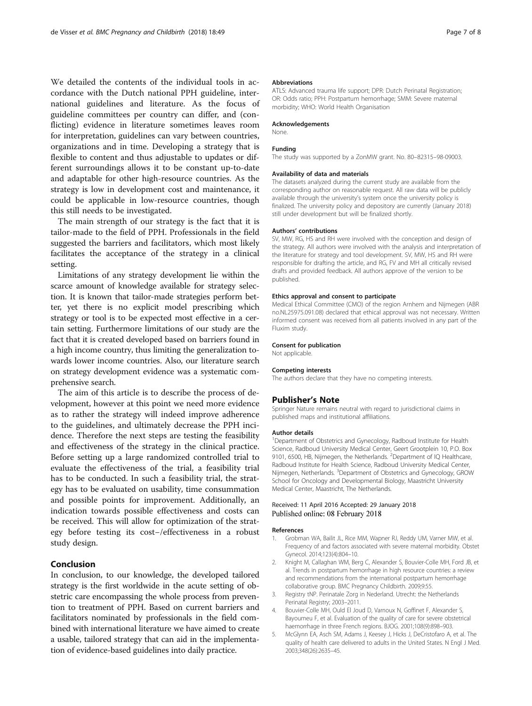<span id="page-6-0"></span>We detailed the contents of the individual tools in accordance with the Dutch national PPH guideline, international guidelines and literature. As the focus of guideline committees per country can differ, and (conflicting) evidence in literature sometimes leaves room for interpretation, guidelines can vary between countries, organizations and in time. Developing a strategy that is flexible to content and thus adjustable to updates or different surroundings allows it to be constant up-to-date and adaptable for other high-resource countries. As the strategy is low in development cost and maintenance, it could be applicable in low-resource countries, though this still needs to be investigated.

The main strength of our strategy is the fact that it is tailor-made to the field of PPH. Professionals in the field suggested the barriers and facilitators, which most likely facilitates the acceptance of the strategy in a clinical setting.

Limitations of any strategy development lie within the scarce amount of knowledge available for strategy selection. It is known that tailor-made strategies perform better, yet there is no explicit model prescribing which strategy or tool is to be expected most effective in a certain setting. Furthermore limitations of our study are the fact that it is created developed based on barriers found in a high income country, thus limiting the generalization towards lower income countries. Also, our literature search on strategy development evidence was a systematic comprehensive search.

The aim of this article is to describe the process of development, however at this point we need more evidence as to rather the strategy will indeed improve adherence to the guidelines, and ultimately decrease the PPH incidence. Therefore the next steps are testing the feasibility and effectiveness of the strategy in the clinical practice. Before setting up a large randomized controlled trial to evaluate the effectiveness of the trial, a feasibility trial has to be conducted. In such a feasibility trial, the strategy has to be evaluated on usability, time consummation and possible points for improvement. Additionally, an indication towards possible effectiveness and costs can be received. This will allow for optimization of the strategy before testing its cost−/effectiveness in a robust study design.

## Conclusion

In conclusion, to our knowledge, the developed tailored strategy is the first worldwide in the acute setting of obstetric care encompassing the whole process from prevention to treatment of PPH. Based on current barriers and facilitators nominated by professionals in the field combined with international literature we have aimed to create a usable, tailored strategy that can aid in the implementation of evidence-based guidelines into daily practice.

#### Abbreviations

ATLS: Advanced trauma life support; DPR: Dutch Perinatal Registration; OR: Odds ratio; PPH: Postpartum hemorrhage; SMM: Severe maternal morbidity; WHO: World Health Organisation

#### Acknowledgements

None.

#### Funding

The study was supported by a ZonMW grant. No. 80–82315–98-09003.

## Availability of data and materials

The datasets analyzed during the current study are available from the corresponding author on reasonable request. All raw data will be publicly available through the university's system once the university policy is finalized. The university policy and depository are currently (January 2018) still under development but will be finalized shortly.

#### Authors' contributions

SV, MW, RG, HS and RH were involved with the conception and design of the strategy. All authors were involved with the analysis and interpretation of the literature for strategy and tool development. SV, MW, HS and RH were responsible for drafting the article, and RG, FV and MH all critically revised drafts and provided feedback. All authors approve of the version to be published.

#### Ethics approval and consent to participate

Medical Ethical Committee (CMO) of the region Arnhem and Nijmegen (ABR no.NL25975.091.08) declared that ethical approval was not necessary. Written informed consent was received from all patients involved in any part of the Fluxim study.

#### Consent for publication

Not applicable.

#### Competing interests

The authors declare that they have no competing interests.

#### Publisher's Note

Springer Nature remains neutral with regard to jurisdictional claims in published maps and institutional affiliations.

#### Author details

<sup>1</sup>Department of Obstetrics and Gynecology, Radboud Institute for Health Science, Radboud University Medical Center, Geert Grootplein 10, P.O. Box 9101, 6500, HB, Nijmegen, the Netherlands. <sup>2</sup>Department of IQ Healthcare, Radboud Institute for Health Science, Radboud University Medical Center, Nijmegen, Netherlands. <sup>3</sup>Department of Obstetrics and Gynecology, GROW School for Oncology and Developmental Biology, Maastricht University Medical Center, Maastricht, The Netherlands.

## Received: 11 April 2016 Accepted: 29 January 2018 Published online: 08 February 2018

#### References

- 1. Grobman WA, Bailit JL, Rice MM, Wapner RJ, Reddy UM, Varner MW, et al. Frequency of and factors associated with severe maternal morbidity. Obstet Gynecol. 2014;123(4):804–10.
- 2. Knight M, Callaghan WM, Berg C, Alexander S, Bouvier-Colle MH, Ford JB, et al. Trends in postpartum hemorrhage in high resource countries: a review and recommendations from the international postpartum hemorrhage collaborative group. BMC Pregnancy Childbirth. 2009;9:55.
- 3. Registry tNP. Perinatale Zorg in Nederland. Utrecht: the Netherlands Perinatal Registry; 2003–2011.
- 4. Bouvier-Colle MH, Ould El Joud D, Varnoux N, Goffinet F, Alexander S, Bayoumeu F, et al. Evaluation of the quality of care for severe obstetrical haemorrhage in three French regions. BJOG. 2001;108(9):898–903.
- 5. McGlynn EA, Asch SM, Adams J, Keesey J, Hicks J, DeCristofaro A, et al. The quality of health care delivered to adults in the United States. N Engl J Med. 2003;348(26):2635–45.